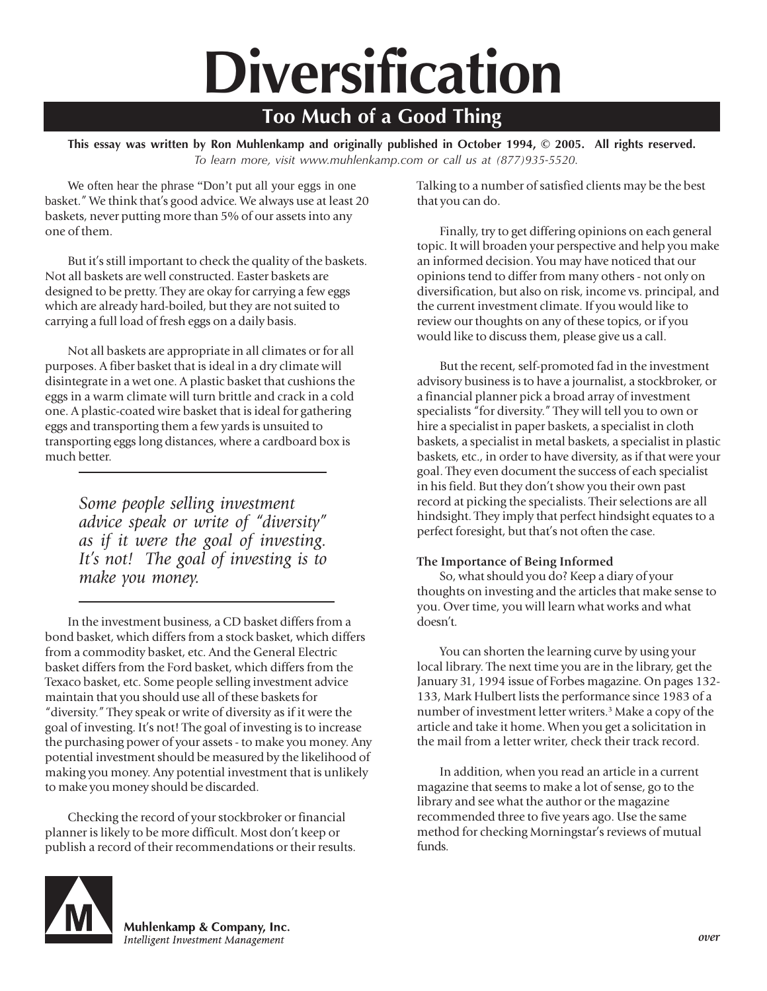# **Diversification**

## **Too Much of a Good Thing**

**This essay was written by Ron Muhlenkamp and originally published in October 1994, © 2005. All rights reserved.** *To learn more, visit www.muhlenkamp.com or call us at (877)935-5520.*

We often hear the phrase "Don't put all your eggs in one basket." We think that's good advice. We always use at least 20 baskets, never putting more than 5% of our assets into any one of them.

But it's still important to check the quality of the baskets. Not all baskets are well constructed. Easter baskets are designed to be pretty. They are okay for carrying a few eggs which are already hard-boiled, but they are not suited to carrying a full load of fresh eggs on a daily basis.

Not all baskets are appropriate in all climates or for all purposes. A fiber basket that is ideal in a dry climate will disintegrate in a wet one. A plastic basket that cushions the eggs in a warm climate will turn brittle and crack in a cold one. A plastic-coated wire basket that is ideal for gathering eggs and transporting them a few yards is unsuited to transporting eggs long distances, where a cardboard box is much better.

> *Some people selling investment advice speak or write of "diversity" as if it were the goal of investing. It's not! The goal of investing is to make you money.*

In the investment business, a CD basket differs from a bond basket, which differs from a stock basket, which differs from a commodity basket, etc. And the General Electric basket differs from the Ford basket, which differs from the Texaco basket, etc. Some people selling investment advice maintain that you should use all of these baskets for "diversity." They speak or write of diversity as if it were the goal of investing. It's not! The goal of investing is to increase the purchasing power of your assets - to make you money. Any potential investment should be measured by the likelihood of making you money. Any potential investment that is unlikely to make you money should be discarded.

Checking the record of your stockbroker or financial planner is likely to be more difficult. Most don't keep or publish a record of their recommendations or their results. Talking to a number of satisfied clients may be the best that you can do.

Finally, try to get differing opinions on each general topic. It will broaden your perspective and help you make an informed decision. You may have noticed that our opinions tend to differ from many others - not only on diversification, but also on risk, income vs. principal, and the current investment climate. If you would like to review our thoughts on any of these topics, or if you would like to discuss them, please give us a call.

But the recent, self-promoted fad in the investment advisory business is to have a journalist, a stockbroker, or a financial planner pick a broad array of investment specialists "for diversity." They will tell you to own or hire a specialist in paper baskets, a specialist in cloth baskets, a specialist in metal baskets, a specialist in plastic baskets, etc., in order to have diversity, as if that were your goal. They even document the success of each specialist in his field. But they don't show you their own past record at picking the specialists. Their selections are all hindsight. They imply that perfect hindsight equates to a perfect foresight, but that's not often the case.

#### **The Importance of Being Informed**

So, what should you do? Keep a diary of your thoughts on investing and the articles that make sense to you. Over time, you will learn what works and what doesn't.

You can shorten the learning curve by using your local library. The next time you are in the library, get the January 31, 1994 issue of Forbes magazine. On pages 132- 133, Mark Hulbert lists the performance since 1983 of a number of investment letter writers.3 Make a copy of the article and take it home. When you get a solicitation in the mail from a letter writer, check their track record.

In addition, when you read an article in a current magazine that seems to make a lot of sense, go to the library and see what the author or the magazine recommended three to five years ago. Use the same method for checking Morningstar's reviews of mutual funds.



Muhlenkamp & Company, Inc. Intelligent Investment Management